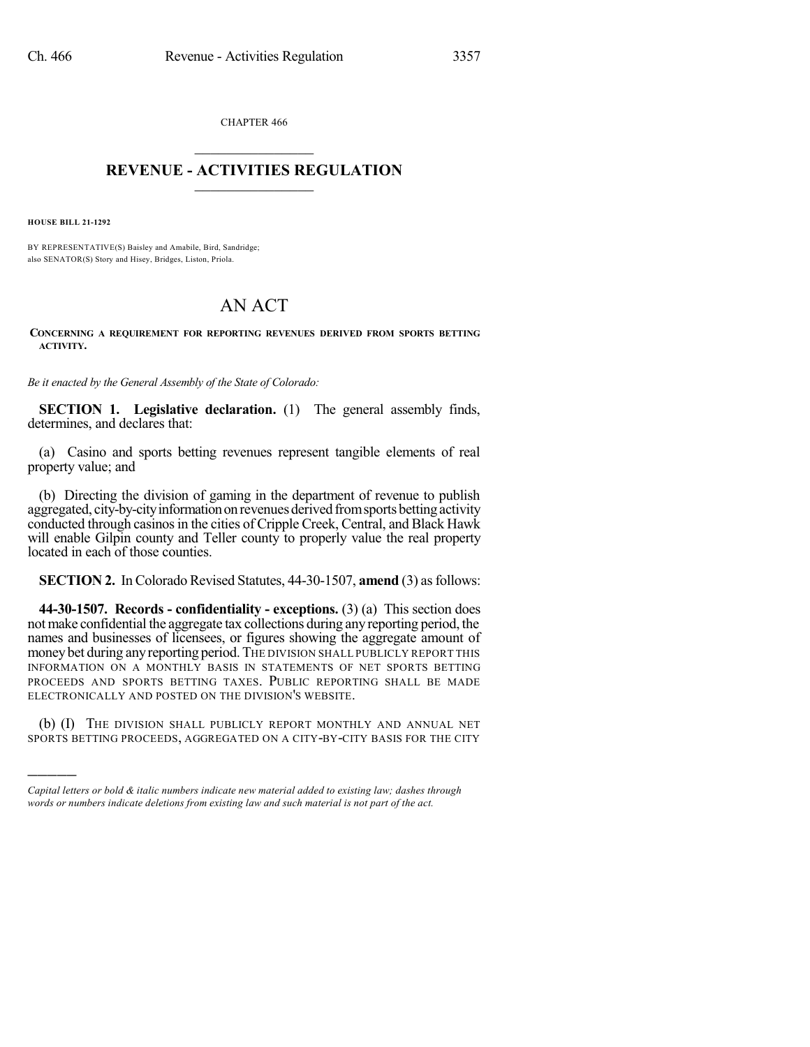CHAPTER 466  $\mathcal{L}_\text{max}$  . The set of the set of the set of the set of the set of the set of the set of the set of the set of the set of the set of the set of the set of the set of the set of the set of the set of the set of the set

## **REVENUE - ACTIVITIES REGULATION**  $\_$   $\_$   $\_$   $\_$   $\_$   $\_$   $\_$   $\_$   $\_$

**HOUSE BILL 21-1292**

)))))

BY REPRESENTATIVE(S) Baisley and Amabile, Bird, Sandridge; also SENATOR(S) Story and Hisey, Bridges, Liston, Priola.

## AN ACT

**CONCERNING A REQUIREMENT FOR REPORTING REVENUES DERIVED FROM SPORTS BETTING ACTIVITY.**

*Be it enacted by the General Assembly of the State of Colorado:*

**SECTION 1. Legislative declaration.** (1) The general assembly finds, determines, and declares that:

(a) Casino and sports betting revenues represent tangible elements of real property value; and

(b) Directing the division of gaming in the department of revenue to publish aggregated, city-by-city information on revenues derived from sports betting activity conducted through casinos in the cities of Cripple Creek, Central, and Black Hawk will enable Gilpin county and Teller county to properly value the real property located in each of those counties.

**SECTION 2.** In Colorado Revised Statutes, 44-30-1507, **amend** (3) as follows:

**44-30-1507. Records - confidentiality - exceptions.** (3) (a) This section does not make confidential the aggregate tax collections during any reporting period, the names and businesses of licensees, or figures showing the aggregate amount of money bet during any reporting period. THE DIVISION SHALL PUBLICLY REPORT THIS INFORMATION ON A MONTHLY BASIS IN STATEMENTS OF NET SPORTS BETTING PROCEEDS AND SPORTS BETTING TAXES. PUBLIC REPORTING SHALL BE MADE ELECTRONICALLY AND POSTED ON THE DIVISION'S WEBSITE.

(b) (I) THE DIVISION SHALL PUBLICLY REPORT MONTHLY AND ANNUAL NET SPORTS BETTING PROCEEDS, AGGREGATED ON A CITY-BY-CITY BASIS FOR THE CITY

*Capital letters or bold & italic numbers indicate new material added to existing law; dashes through words or numbers indicate deletions from existing law and such material is not part of the act.*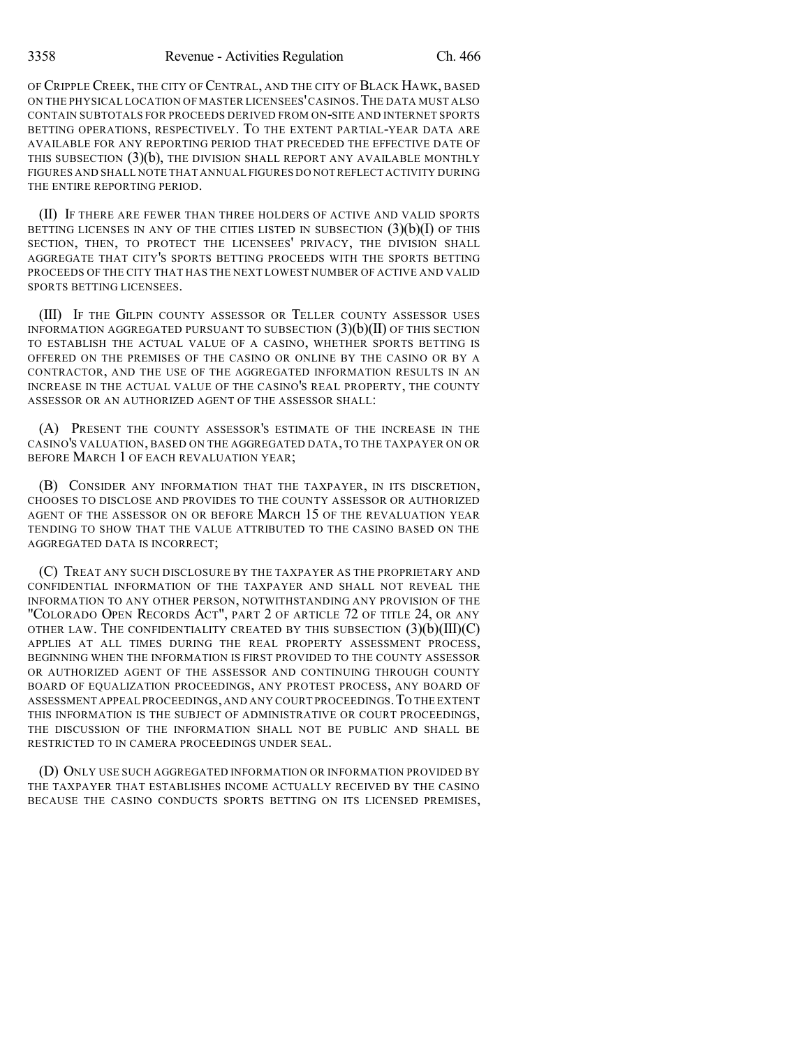OF CRIPPLE CREEK, THE CITY OF CENTRAL, AND THE CITY OF BLACK HAWK, BASED ON THE PHYSICAL LOCATION OF MASTER LICENSEES'CASINOS.THE DATA MUST ALSO CONTAIN SUBTOTALS FOR PROCEEDS DERIVED FROM ON-SITE AND INTERNET SPORTS BETTING OPERATIONS, RESPECTIVELY. TO THE EXTENT PARTIAL-YEAR DATA ARE AVAILABLE FOR ANY REPORTING PERIOD THAT PRECEDED THE EFFECTIVE DATE OF THIS SUBSECTION  $(3)(b)$ , THE DIVISION SHALL REPORT ANY AVAILABLE MONTHLY FIGURES AND SHALL NOTE THAT ANNUAL FIGURES DO NOT REFLECT ACTIVITY DURING THE ENTIRE REPORTING PERIOD.

(II) IF THERE ARE FEWER THAN THREE HOLDERS OF ACTIVE AND VALID SPORTS BETTING LICENSES IN ANY OF THE CITIES LISTED IN SUBSECTION  $(3)(b)(I)$  Of this SECTION, THEN, TO PROTECT THE LICENSEES' PRIVACY, THE DIVISION SHALL AGGREGATE THAT CITY'S SPORTS BETTING PROCEEDS WITH THE SPORTS BETTING PROCEEDS OF THE CITY THAT HAS THE NEXT LOWEST NUMBER OF ACTIVE AND VALID SPORTS BETTING LICENSEES.

(III) IF THE GILPIN COUNTY ASSESSOR OR TELLER COUNTY ASSESSOR USES INFORMATION AGGREGATED PURSUANT TO SUBSECTION  $(3)(b)(II)$  OF THIS SECTION TO ESTABLISH THE ACTUAL VALUE OF A CASINO, WHETHER SPORTS BETTING IS OFFERED ON THE PREMISES OF THE CASINO OR ONLINE BY THE CASINO OR BY A CONTRACTOR, AND THE USE OF THE AGGREGATED INFORMATION RESULTS IN AN INCREASE IN THE ACTUAL VALUE OF THE CASINO'S REAL PROPERTY, THE COUNTY ASSESSOR OR AN AUTHORIZED AGENT OF THE ASSESSOR SHALL:

(A) PRESENT THE COUNTY ASSESSOR'S ESTIMATE OF THE INCREASE IN THE CASINO'S VALUATION, BASED ON THE AGGREGATED DATA, TO THE TAXPAYER ON OR BEFORE MARCH 1 OF EACH REVALUATION YEAR;

(B) CONSIDER ANY INFORMATION THAT THE TAXPAYER, IN ITS DISCRETION, CHOOSES TO DISCLOSE AND PROVIDES TO THE COUNTY ASSESSOR OR AUTHORIZED AGENT OF THE ASSESSOR ON OR BEFORE MARCH 15 OF THE REVALUATION YEAR TENDING TO SHOW THAT THE VALUE ATTRIBUTED TO THE CASINO BASED ON THE AGGREGATED DATA IS INCORRECT;

(C) TREAT ANY SUCH DISCLOSURE BY THE TAXPAYER AS THE PROPRIETARY AND CONFIDENTIAL INFORMATION OF THE TAXPAYER AND SHALL NOT REVEAL THE INFORMATION TO ANY OTHER PERSON, NOTWITHSTANDING ANY PROVISION OF THE "COLORADO OPEN RECORDS ACT", PART 2 OF ARTICLE 72 OF TITLE 24, OR ANY OTHER LAW. THE CONFIDENTIALITY CREATED BY THIS SUBSECTION  $(3)(b)(III)(C)$ APPLIES AT ALL TIMES DURING THE REAL PROPERTY ASSESSMENT PROCESS, BEGINNING WHEN THE INFORMATION IS FIRST PROVIDED TO THE COUNTY ASSESSOR OR AUTHORIZED AGENT OF THE ASSESSOR AND CONTINUING THROUGH COUNTY BOARD OF EQUALIZATION PROCEEDINGS, ANY PROTEST PROCESS, ANY BOARD OF ASSESSMENT APPEAL PROCEEDINGS,AND ANY COURT PROCEEDINGS.TO THE EXTENT THIS INFORMATION IS THE SUBJECT OF ADMINISTRATIVE OR COURT PROCEEDINGS, THE DISCUSSION OF THE INFORMATION SHALL NOT BE PUBLIC AND SHALL BE RESTRICTED TO IN CAMERA PROCEEDINGS UNDER SEAL.

(D) ONLY USE SUCH AGGREGATED INFORMATION OR INFORMATION PROVIDED BY THE TAXPAYER THAT ESTABLISHES INCOME ACTUALLY RECEIVED BY THE CASINO BECAUSE THE CASINO CONDUCTS SPORTS BETTING ON ITS LICENSED PREMISES,